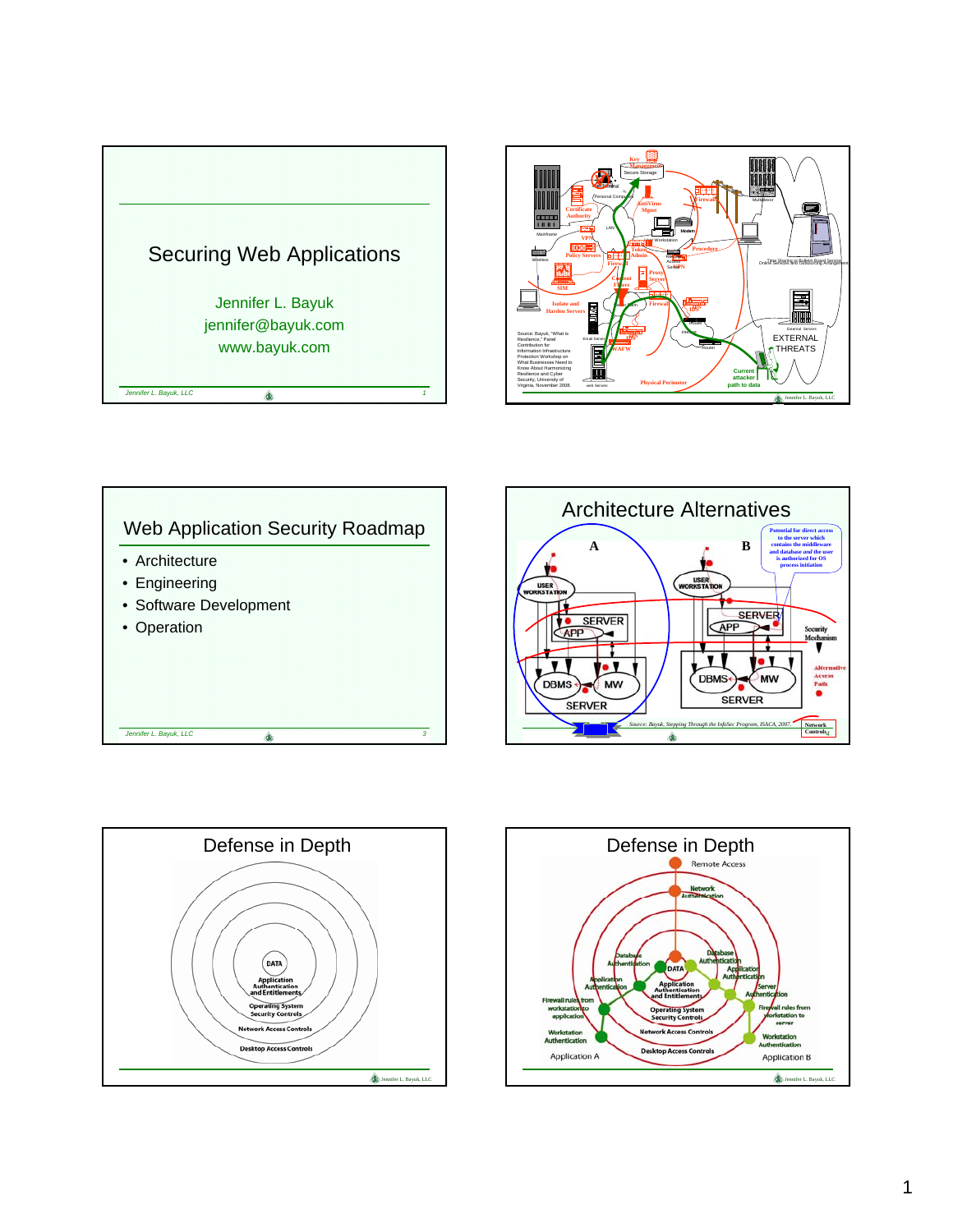









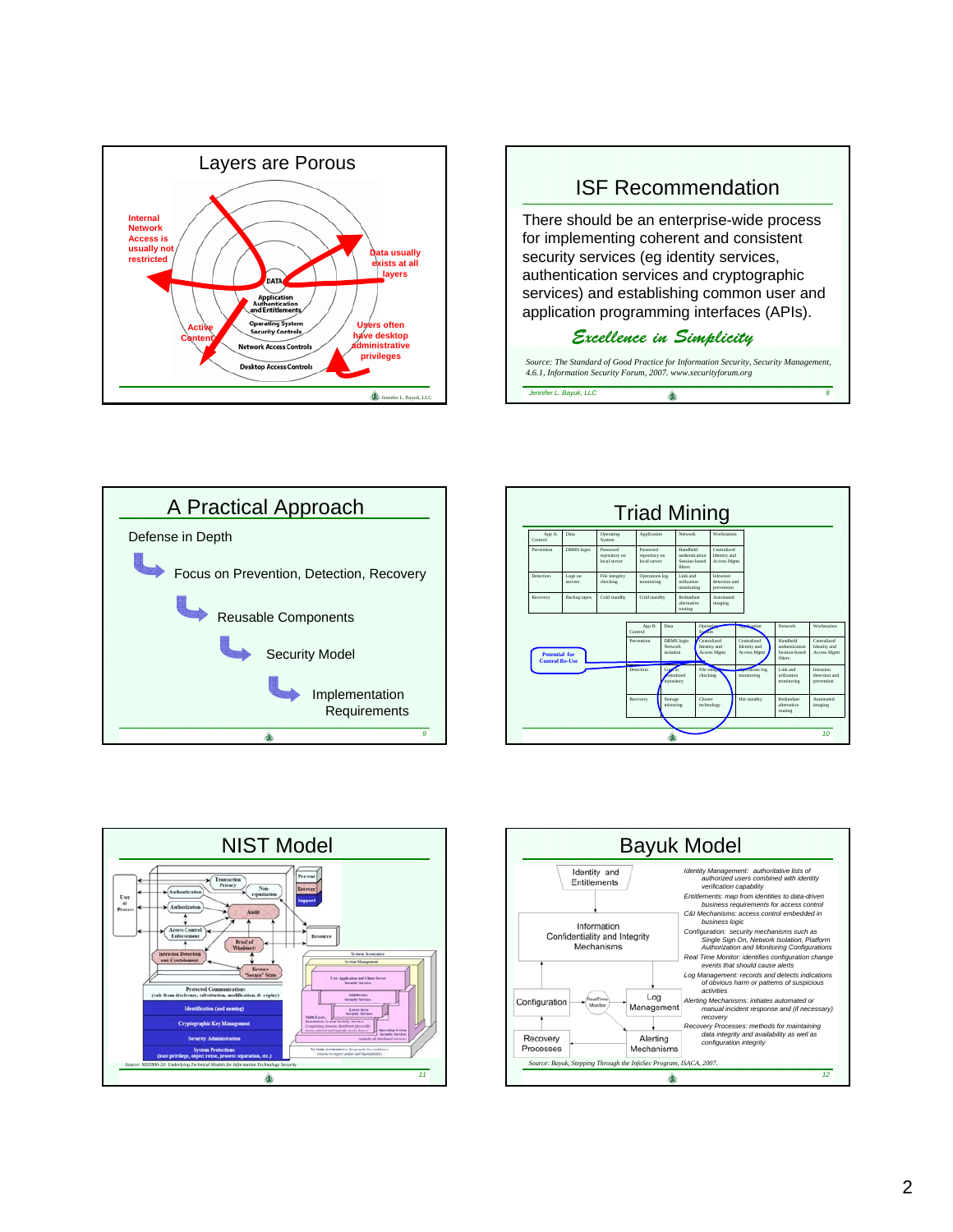









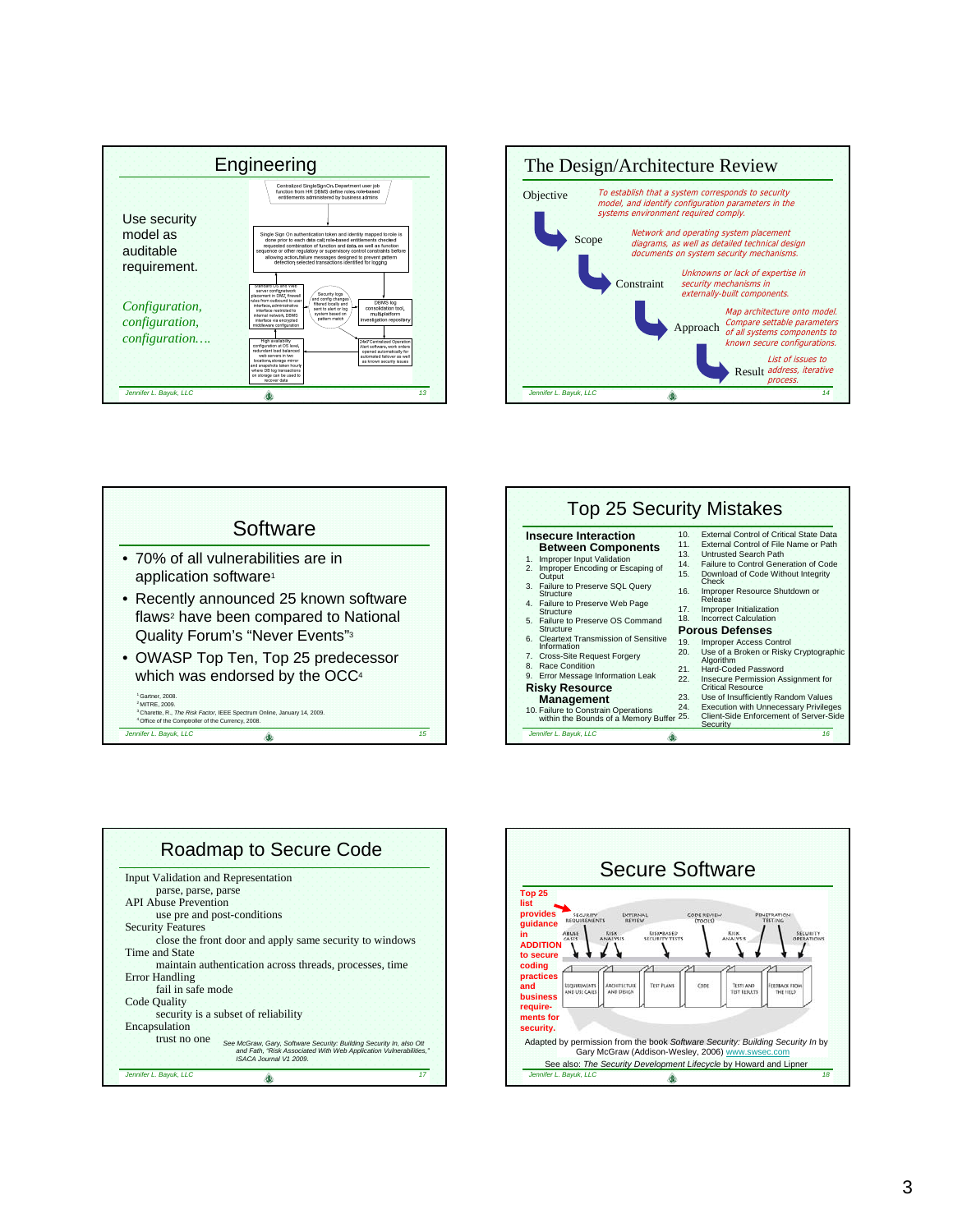







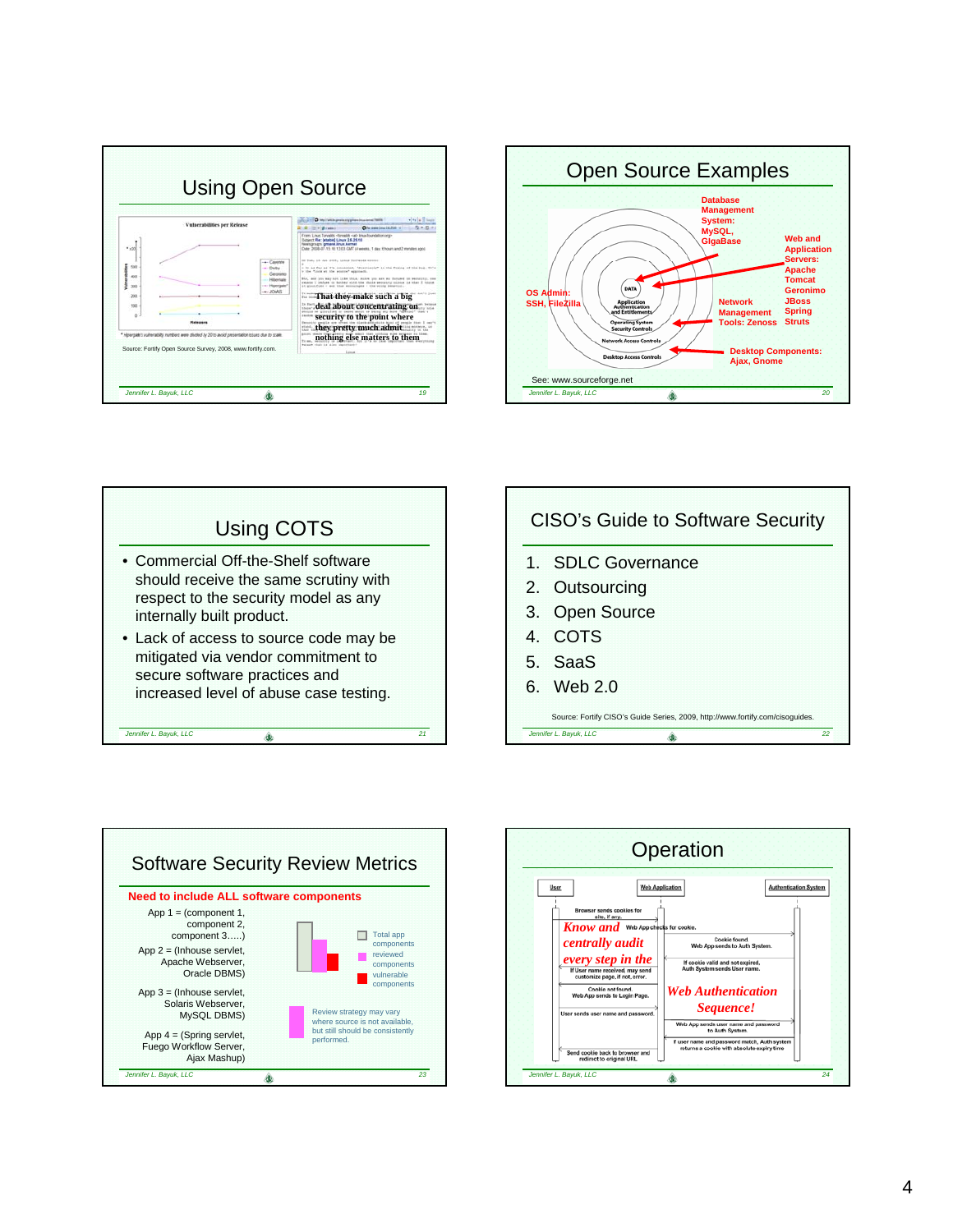